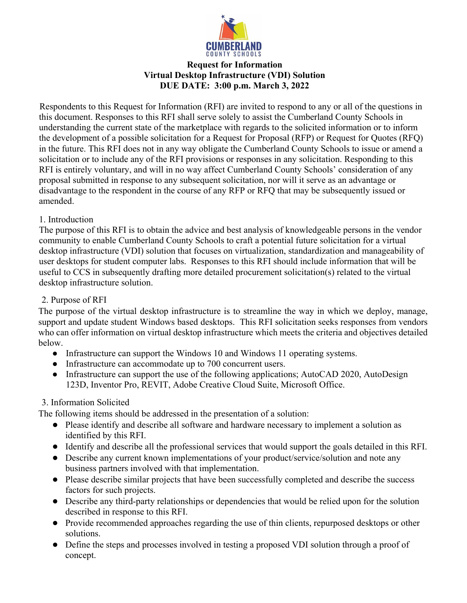

# **Request for Information Virtual Desktop Infrastructure (VDI) Solution DUE DATE: 3:00 p.m. March 3, 2022**

Respondents to this Request for Information (RFI) are invited to respond to any or all of the questions in this document. Responses to this RFI shall serve solely to assist the Cumberland County Schools in understanding the current state of the marketplace with regards to the solicited information or to inform the development of a possible solicitation for a Request for Proposal (RFP) or Request for Quotes (RFQ) in the future. This RFI does not in any way obligate the Cumberland County Schools to issue or amend a solicitation or to include any of the RFI provisions or responses in any solicitation. Responding to this RFI is entirely voluntary, and will in no way affect Cumberland County Schools' consideration of any proposal submitted in response to any subsequent solicitation, nor will it serve as an advantage or disadvantage to the respondent in the course of any RFP or RFQ that may be subsequently issued or amended.

# 1. Introduction

The purpose of this RFI is to obtain the advice and best analysis of knowledgeable persons in the vendor community to enable Cumberland County Schools to craft a potential future solicitation for a virtual desktop infrastructure (VDI) solution that focuses on virtualization, standardization and manageability of user desktops for student computer labs. Responses to this RFI should include information that will be useful to CCS in subsequently drafting more detailed procurement solicitation(s) related to the virtual desktop infrastructure solution.

# 2. Purpose of RFI

The purpose of the virtual desktop infrastructure is to streamline the way in which we deploy, manage, support and update student Windows based desktops. This RFI solicitation seeks responses from vendors who can offer information on virtual desktop infrastructure which meets the criteria and objectives detailed below.

- Infrastructure can support the Windows 10 and Windows 11 operating systems.
- Infrastructure can accommodate up to 700 concurrent users.
- Infrastructure can support the use of the following applications; AutoCAD 2020, AutoDesign 123D, Inventor Pro, REVIT, Adobe Creative Cloud Suite, Microsoft Office.

# 3. Information Solicited

The following items should be addressed in the presentation of a solution:

- Please identify and describe all software and hardware necessary to implement a solution as identified by this RFI.
- Identify and describe all the professional services that would support the goals detailed in this RFI.
- Describe any current known implementations of your product/service/solution and note any business partners involved with that implementation.
- Please describe similar projects that have been successfully completed and describe the success factors for such projects.
- Describe any third-party relationships or dependencies that would be relied upon for the solution described in response to this RFI.
- Provide recommended approaches regarding the use of thin clients, repurposed desktops or other solutions.
- Define the steps and processes involved in testing a proposed VDI solution through a proof of concept.